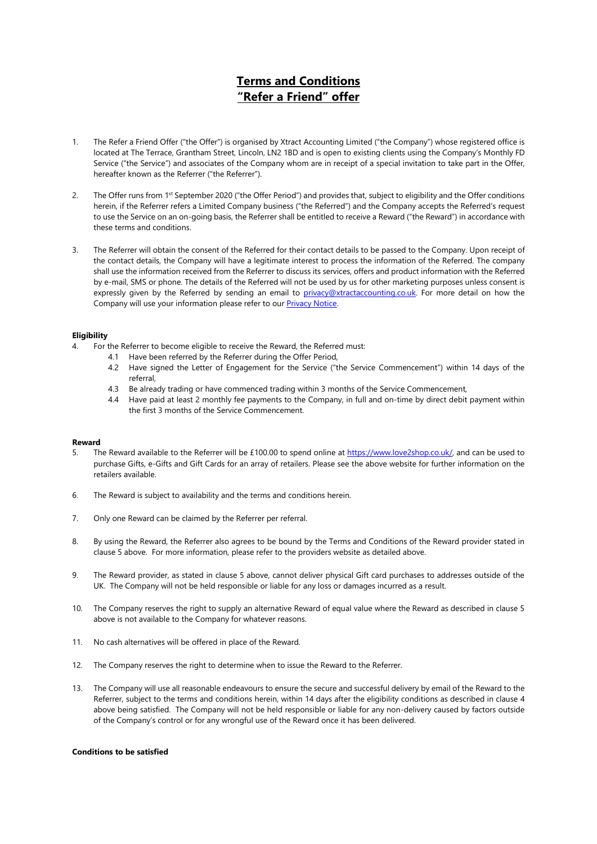# **Terms and Conditions "Refer a Friend" offer**

- 1. The Refer a Friend Offer ("the Offer") is organised by Xtract Accounting Limited ("the Company") whose registered office is located at The Terrace, Grantham Street, Lincoln, LN2 1BD and is open to existing clients using the Company's Monthly FD Service ("the Service") and associates of the Company whom are in receipt of a special invitation to take part in the Offer, hereafter known as the Referrer ("the Referrer").
- 2. The Offer runs from  $1$ <sup>st</sup> September 2020 ("the Offer Period") and provides that, subject to eligibility and the Offer conditions herein, if the Referrer refers a Limited Company business ("the Referred") and the Company accepts the Referred's request to use the Service on an on-going basis, the Referrer shall be entitled to receive a Reward ("the Reward") in accordance with these terms and conditions.
- 3. The Referrer will obtain the consent of the Referred for their contact details to be passed to the Company. Upon receipt of the contact details, the Company will have a legitimate interest to process the information of the Referred. The company shall use the information received from the Referrer to discuss its services, offers and product information with the Referred by e-mail, SMS or phone. The details of the Referred will not be used by us for other marketing purposes unless consent is expressly given by the Referred by sending an email to [privacy@xtractaccounting.co.uk.](mailto:privacy@xtractaccounting.co.uk?subject=STOP) For more detail on how the Company will use your information please refer to our [Privacy Notice.](https://www.xtractaccounting.co.uk/privacy-and-cookies-policy)

## **Eligibility**

- 4. For the Referrer to become eligible to receive the Reward, the Referred must:
	- 4.1 Have been referred by the Referrer during the Offer Period,
	- 4.2 Have signed the Letter of Engagement for the Service ("the Service Commencement") within 14 days of the referral,
	- 4.3 Be already trading or have commenced trading within 3 months of the Service Commencement,
	- 4.4 Have paid at least 2 monthly fee payments to the Company, in full and on-time by direct debit payment within the first 3 months of the Service Commencement.

#### **Reward**

- 5. The Reward available to the Referrer will be £100.00 to spend online a[t https://www.love2shop.co.uk/,](https://www.love2shop.co.uk/) and can be used to purchase Gifts, e-Gifts and Gift Cards for an array of retailers. Please see the above website for further information on the retailers available.
- 6. The Reward is subject to availability and the terms and conditions herein.
- 7. Only one Reward can be claimed by the Referrer per referral.
- 8. By using the Reward, the Referrer also agrees to be bound by the Terms and Conditions of the Reward provider stated in clause 5 above. For more information, please refer to the providers website as detailed above.
- 9. The Reward provider, as stated in clause 5 above, cannot deliver physical Gift card purchases to addresses outside of the UK. The Company will not be held responsible or liable for any loss or damages incurred as a result.
- 10. The Company reserves the right to supply an alternative Reward of equal value where the Reward as described in clause 5 above is not available to the Company for whatever reasons.
- 11. No cash alternatives will be offered in place of the Reward.
- 12. The Company reserves the right to determine when to issue the Reward to the Referrer.
- 13. The Company will use all reasonable endeavours to ensure the secure and successful delivery by email of the Reward to the Referrer, subject to the terms and conditions herein, within 14 days after the eligibility conditions as described in clause 4 above being satisfied. The Company will not be held responsible or liable for any non-delivery caused by factors outside of the Company's control or for any wrongful use of the Reward once it has been delivered.

#### **Conditions to be satisfied**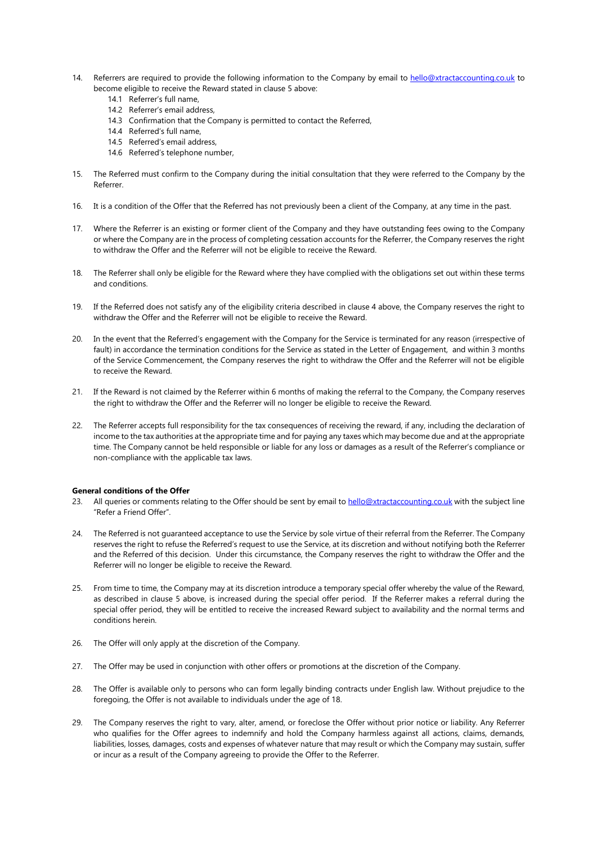- 14. Referrers are required to provide the following information to the Company by email to [hello@xtractaccounting.co.uk](mailto:hello@xtractaccounting.co.uk?subject=Referral) to become eligible to receive the Reward stated in clause 5 above:
	- 14.1 Referrer's full name,
	- 14.2 Referrer's email address,
	- 14.3 Confirmation that the Company is permitted to contact the Referred,
	- 14.4 Referred's full name,
	- 14.5 Referred's email address,
	- 14.6 Referred's telephone number,
- 15. The Referred must confirm to the Company during the initial consultation that they were referred to the Company by the Referrer.
- 16. It is a condition of the Offer that the Referred has not previously been a client of the Company, at any time in the past.
- 17. Where the Referrer is an existing or former client of the Company and they have outstanding fees owing to the Company or where the Company are in the process of completing cessation accounts for the Referrer, the Company reserves the right to withdraw the Offer and the Referrer will not be eligible to receive the Reward.
- 18. The Referrer shall only be eligible for the Reward where they have complied with the obligations set out within these terms and conditions.
- 19. If the Referred does not satisfy any of the eligibility criteria described in clause 4 above, the Company reserves the right to withdraw the Offer and the Referrer will not be eligible to receive the Reward.
- 20. In the event that the Referred's engagement with the Company for the Service is terminated for any reason (irrespective of fault) in accordance the termination conditions for the Service as stated in the Letter of Engagement, and within 3 months of the Service Commencement, the Company reserves the right to withdraw the Offer and the Referrer will not be eligible to receive the Reward.
- 21. If the Reward is not claimed by the Referrer within 6 months of making the referral to the Company, the Company reserves the right to withdraw the Offer and the Referrer will no longer be eligible to receive the Reward.
- 22. The Referrer accepts full responsibility for the tax consequences of receiving the reward, if any, including the declaration of income to the tax authorities at the appropriate time and for paying any taxes which may become due and at the appropriate time. The Company cannot be held responsible or liable for any loss or damages as a result of the Referrer's compliance or non-compliance with the applicable tax laws.

### **General conditions of the Offer**

- 23. All queries or comments relating to the Offer should be sent by email t[o hello@xtractaccounting.co.uk](mailto:hello@xtractaccounting.co.uk?subject=Refer%20a%20Friend%20Offer) with the subject line "Refer a Friend Offer".
- 24. The Referred is not guaranteed acceptance to use the Service by sole virtue of their referral from the Referrer. The Company reserves the right to refuse the Referred's request to use the Service, at its discretion and without notifying both the Referrer and the Referred of this decision. Under this circumstance, the Company reserves the right to withdraw the Offer and the Referrer will no longer be eligible to receive the Reward.
- 25. From time to time, the Company may at its discretion introduce a temporary special offer whereby the value of the Reward, as described in clause 5 above, is increased during the special offer period. If the Referrer makes a referral during the special offer period, they will be entitled to receive the increased Reward subject to availability and the normal terms and conditions herein.
- 26. The Offer will only apply at the discretion of the Company.
- 27. The Offer may be used in conjunction with other offers or promotions at the discretion of the Company.
- 28. The Offer is available only to persons who can form legally binding contracts under English law. Without prejudice to the foregoing, the Offer is not available to individuals under the age of 18.
- 29. The Company reserves the right to vary, alter, amend, or foreclose the Offer without prior notice or liability. Any Referrer who qualifies for the Offer agrees to indemnify and hold the Company harmless against all actions, claims, demands, liabilities, losses, damages, costs and expenses of whatever nature that may result or which the Company may sustain, suffer or incur as a result of the Company agreeing to provide the Offer to the Referrer.